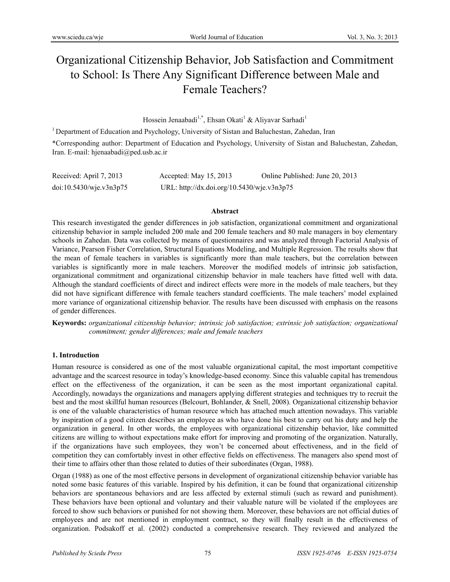# Organizational Citizenship Behavior, Job Satisfaction and Commitment to School: Is There Any Significant Difference between Male and Female Teachers?

Hossein Jenaabadi<sup>1,\*</sup>, Ehsan Okati<sup>1</sup> & Aliyavar Sarhadi<sup>1</sup>

<sup>1</sup> Department of Education and Psychology, University of Sistan and Baluchestan, Zahedan, Iran

\*Corresponding author: Department of Education and Psychology, University of Sistan and Baluchestan, Zahedan, Iran. E-mail: hjenaabadi@ped.usb.ac.ir

| Received: April 7, 2013 | Accepted: May $15, 2013$                   | Online Published: June 20, 2013 |
|-------------------------|--------------------------------------------|---------------------------------|
| doi:10.5430/wje.v3n3p75 | URL: http://dx.doi.org/10.5430/wje.v3n3p75 |                                 |

# **Abstract**

This research investigated the gender differences in job satisfaction, organizational commitment and organizational citizenship behavior in sample included 200 male and 200 female teachers and 80 male managers in boy elementary schools in Zahedan. Data was collected by means of questionnaires and was analyzed through Factorial Analysis of Variance, Pearson Fisher Correlation, Structural Equations Modeling, and Multiple Regression. The results show that the mean of female teachers in variables is significantly more than male teachers, but the correlation between variables is significantly more in male teachers. Moreover the modified models of intrinsic job satisfaction, organizational commitment and organizational citizenship behavior in male teachers have fitted well with data. Although the standard coefficients of direct and indirect effects were more in the models of male teachers, but they did not have significant difference with female teachers standard coefficients. The male teachers' model explained more variance of organizational citizenship behavior. The results have been discussed with emphasis on the reasons of gender differences.

**Keywords:** *organizational citizenship behavior; intrinsic job satisfaction; extrinsic job satisfaction; organizational commitment; gender differences; male and female teachers* 

# **1. Introduction**

Human resource is considered as one of the most valuable organizational capital, the most important competitive advantage and the scarcest resource in today's knowledge-based economy. Since this valuable capital has tremendous effect on the effectiveness of the organization, it can be seen as the most important organizational capital. Accordingly, nowadays the organizations and managers applying different strategies and techniques try to recruit the best and the most skillful human resources (Belcourt, Bohlander, & Snell, 2008). Organizational citizenship behavior is one of the valuable characteristics of human resource which has attached much attention nowadays. This variable by inspiration of a good citizen describes an employee as who have done his best to carry out his duty and help the organization in general. In other words, the employees with organizational citizenship behavior, like committed citizens are willing to without expectations make effort for improving and promoting of the organization. Naturally, if the organizations have such employees, they won't be concerned about effectiveness, and in the field of competition they can comfortably invest in other effective fields on effectiveness. The managers also spend most of their time to affairs other than those related to duties of their subordinates (Organ, 1988).

Organ (1988) as one of the most effective persons in development of organizational citizenship behavior variable has noted some basic features of this variable. Inspired by his definition, it can be found that organizational citizenship behaviors are spontaneous behaviors and are less affected by external stimuli (such as reward and punishment). These behaviors have been optional and voluntary and their valuable nature will be violated if the employees are forced to show such behaviors or punished for not showing them. Moreover, these behaviors are not official duties of employees and are not mentioned in employment contract, so they will finally result in the effectiveness of organization. Podsakoff et al. (2002) conducted a comprehensive research. They reviewed and analyzed the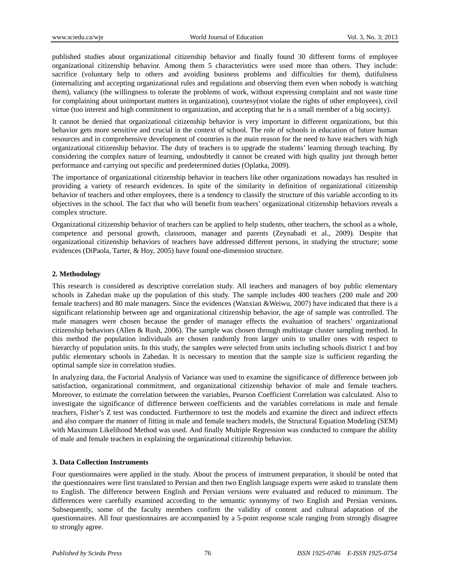published studies about organizational citizenship behavior and finally found 30 different forms of employee organizational citizenship behavior. Among them 5 characteristics were used more than others. They include: sacrifice (voluntary help to others and avoiding business problems and difficulties for them), dutifulness (internalizing and accepting organizational rules and regulations and observing them even when nobody is watching them), valiancy (the willingness to tolerate the problems of work, without expressing complaint and not waste time for complaining about unimportant matters in organization), courtesy(not violate the rights of other employees), civil virtue (too interest and high commitment to organization, and accepting that he is a small member of a big society).

It cannot be denied that organizational citizenship behavior is very important in different organizations, but this behavior gets more sensitive and crucial in the context of school. The role of schools in education of future human resources and in comprehensive development of countries is the main reason for the need to have teachers with high organizational citizenship behavior. The duty of teachers is to upgrade the students' learning through teaching. By considering the complex nature of learning, undoubtedly it cannot be created with high quality just through better performance and carrying out specific and predetermined duties (Oplatka, 2009).

The importance of organizational citizenship behavior in teachers like other organizations nowadays has resulted in providing a variety of research evidences. In spite of the similarity in definition of organizational citizenship behavior of teachers and other employees, there is a tendency to classify the structure of this variable according to its objectives in the school. The fact that who will benefit from teachers' organizational citizenship behaviors reveals a complex structure.

Organizational citizenship behavior of teachers can be applied to help students, other teachers, the school as a whole, competence and personal growth, classroom, manager and parents (Zeynabadi et al., 2009). Despite that organizational citizenship behaviors of teachers have addressed different persons, in studying the structure; some evidences (DiPaola, Tarter, & Hoy, 2005) have found one-dimension structure.

# **2. Methodology**

This research is considered as descriptive correlation study. All teachers and managers of boy public elementary schools in Zahedan make up the population of this study. The sample includes 400 teachers (200 male and 200 female teachers) and 80 male managers. Since the evidences (Wanxian &Weiwu, 2007) have indicated that there is a significant relationship between age and organizational citizenship behavior, the age of sample was controlled. The male managers were chosen because the gender of manager effects the evaluation of teachers' organizational citizenship behaviors (Allen & Rush, 2006). The sample was chosen through multistage cluster sampling method. In this method the population individuals are chosen randomly from larger units to smaller ones with respect to hierarchy of population units. In this study, the samples were selected from units including schools district 1 and boy public elementary schools in Zahedan. It is necessary to mention that the sample size is sufficient regarding the optimal sample size in correlation studies.

In analyzing data, the Factorial Analysis of Variance was used to examine the significance of difference between job satisfaction, organizational commitment, and organizational citizenship behavior of male and female teachers. Moreover, to estimate the correlation between the variables, Pearson Coefficient Correlation was calculated. Also to investigate the significance of difference between coefficients and the variables correlations in male and female teachers, Fisher's Z test was conducted. Furthermore to test the models and examine the direct and indirect effects and also compare the manner of fitting in male and female teachers models, the Structural Equation Modeling (SEM) with Maximum Likelihood Method was used. And finally Multiple Regression was conducted to compare the ability of male and female teachers in explaining the organizational citizenship behavior.

#### **3. Data Collection Instruments**

Four questionnaires were applied in the study. About the process of instrument preparation, it should be noted that the questionnaires were first translated to Persian and then two English language experts were asked to translate them to English. The difference between English and Persian versions were evaluated and reduced to minimum. The differences were carefully examined according to the semantic synonymy of two English and Persian versions. Subsequently, some of the faculty members confirm the validity of content and cultural adaptation of the questionnaires. All four questionnaires are accompanied by a 5-point response scale ranging from strongly disagree to strongly agree.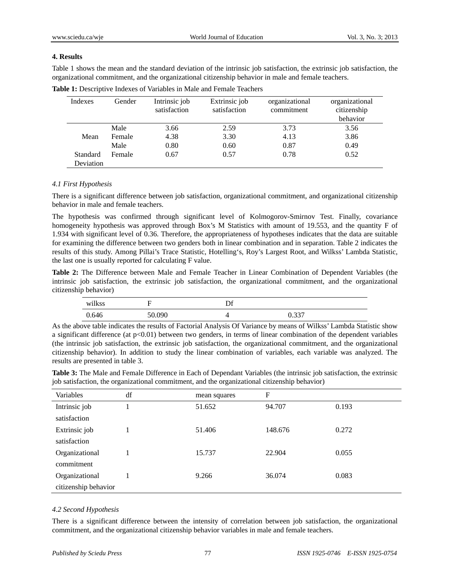#### **4. Results**

Table 1 shows the mean and the standard deviation of the intrinsic job satisfaction, the extrinsic job satisfaction, the organizational commitment, and the organizational citizenship behavior in male and female teachers.

| <b>Indexes</b> | Gender | Intrinsic job<br>satisfaction | Extrinsic job<br>satisfaction | organizational<br>commitment | organizational<br>citizenship<br>behavior |
|----------------|--------|-------------------------------|-------------------------------|------------------------------|-------------------------------------------|
|                | Male   | 3.66                          | 2.59                          | 3.73                         | 3.56                                      |
| Mean           | Female | 4.38                          | 3.30                          | 4.13                         | 3.86                                      |
|                | Male   | 0.80                          | 0.60                          | 0.87                         | 0.49                                      |
| Standard       | Female | 0.67                          | 0.57                          | 0.78                         | 0.52                                      |
| Deviation      |        |                               |                               |                              |                                           |

**Table 1:** Descriptive Indexes of Variables in Male and Female Teachers

# *4.1 First Hypothesis*

There is a significant difference between job satisfaction, organizational commitment, and organizational citizenship behavior in male and female teachers.

The hypothesis was confirmed through significant level of Kolmogorov-Smirnov Test. Finally, covariance homogeneity hypothesis was approved through Box's M Statistics with amount of 19.553, and the quantity F of 1.934 with significant level of 0.36. Therefore, the appropriateness of hypotheses indicates that the data are suitable for examining the difference between two genders both in linear combination and in separation. Table 2 indicates the results of this study. Among Pillai's Trace Statistic, Hotelling's, Roy's Largest Root, and Wilkss' Lambda Statistic, the last one is usually reported for calculating F value.

**Table 2:** The Difference between Male and Female Teacher in Linear Combination of Dependent Variables (the intrinsic job satisfaction, the extrinsic job satisfaction, the organizational commitment, and the organizational citizenship behavior)

| wilkss |        | - -     |             |
|--------|--------|---------|-------------|
| 0.646  | 50.090 | {<br>-- | つつつ<br>v.JJ |

As the above table indicates the results of Factorial Analysis Of Variance by means of Wilkss' Lambda Statistic show a significant difference (at  $p<0.01$ ) between two genders, in terms of linear combination of the dependent variables (the intrinsic job satisfaction, the extrinsic job satisfaction, the organizational commitment, and the organizational citizenship behavior). In addition to study the linear combination of variables, each variable was analyzed. The results are presented in table 3.

**Table 3:** The Male and Female Difference in Each of Dependant Variables (the intrinsic job satisfaction, the extrinsic job satisfaction, the organizational commitment, and the organizational citizenship behavior)

| Variables            | df | mean squares | F       |       |
|----------------------|----|--------------|---------|-------|
| Intrinsic job        |    | 51.652       | 94.707  | 0.193 |
| satisfaction         |    |              |         |       |
| Extrinsic job        |    | 51.406       | 148.676 | 0.272 |
| satisfaction         |    |              |         |       |
| Organizational       |    | 15.737       | 22.904  | 0.055 |
| commitment           |    |              |         |       |
| Organizational       |    | 9.266        | 36.074  | 0.083 |
| citizenship behavior |    |              |         |       |

#### *4.2 Second Hypothesis*

There is a significant difference between the intensity of correlation between job satisfaction, the organizational commitment, and the organizational citizenship behavior variables in male and female teachers.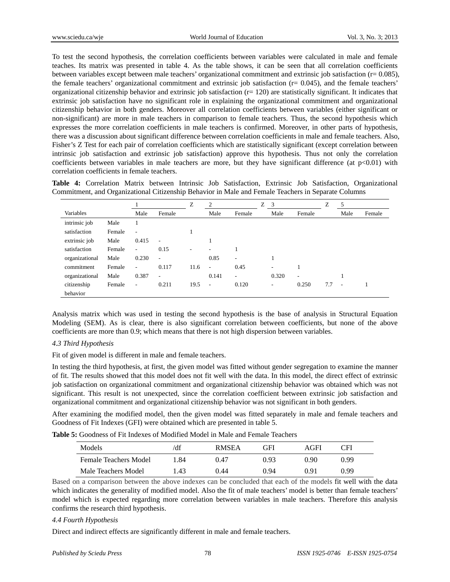To test the second hypothesis, the correlation coefficients between variables were calculated in male and female teaches. Its matrix was presented in table 4. As the table shows, it can be seen that all correlation coefficients between variables except between male teachers' organizational commitment and extrinsic job satisfaction (r= 0.085), the female teachers' organizational commitment and extrinsic job satisfaction  $(r= 0.045)$ , and the female teachers' organizational citizenship behavior and extrinsic job satisfaction  $(r= 120)$  are statistically significant. It indicates that extrinsic job satisfaction have no significant role in explaining the organizational commitment and organizational citizenship behavior in both genders. Moreover all correlation coefficients between variables (either significant or non-significant) are more in male teachers in comparison to female teachers. Thus, the second hypothesis which expresses the more correlation coefficients in male teachers is confirmed. Moreover, in other parts of hypothesis, there was a discussion about significant difference between correlation coefficients in male and female teachers. Also, Fisher's Z Test for each pair of correlation coefficients which are statistically significant (except correlation between intrinsic job satisfaction and extrinsic job satisfaction) approve this hypothesis. Thus not only the correlation coefficients between variables in male teachers are more, but they have significant difference (at p<0.01) with correlation coefficients in female teachers.

**Table 4:** Correlation Matrix between Intrinsic Job Satisfaction, Extrinsic Job Satisfaction, Organizational Commitment, and Organizational Citizenship Behavior in Male and Female Teachers in Separate Columns

|                |        |                          |                          | Ζ    | 2                        |                          | $Z \quad 3$              |        | Ζ   | 5                        |        |
|----------------|--------|--------------------------|--------------------------|------|--------------------------|--------------------------|--------------------------|--------|-----|--------------------------|--------|
| Variables      |        | Male                     | Female                   |      | Male                     | Female                   | Male                     | Female |     | Male                     | Female |
| intrinsic job  | Male   |                          |                          |      |                          |                          |                          |        |     |                          |        |
| satisfaction   | Female | ۰                        |                          |      |                          |                          |                          |        |     |                          |        |
| extrinsic job  | Male   | 0.415                    | $\overline{\phantom{a}}$ |      |                          |                          |                          |        |     |                          |        |
| satisfaction   | Female | $\overline{\phantom{0}}$ | 0.15                     | ٠    |                          |                          |                          |        |     |                          |        |
| organizational | Male   | 0.230                    | $\overline{\phantom{a}}$ |      | 0.85                     | $\overline{\phantom{a}}$ |                          |        |     |                          |        |
| commitment     | Female | ۰                        | 0.117                    | 11.6 | $\sim$                   | 0.45                     | $\overline{\phantom{a}}$ |        |     |                          |        |
| organizational | Male   | 0.387                    | $\overline{\phantom{a}}$ |      | 0.141                    | $\overline{\phantom{a}}$ | 0.320                    | ۰      |     |                          |        |
| citizenship    | Female | ۰                        | 0.211                    | 19.5 | $\overline{\phantom{a}}$ | 0.120                    | $\overline{\phantom{a}}$ | 0.250  | 7.7 | $\overline{\phantom{a}}$ |        |
| behavior       |        |                          |                          |      |                          |                          |                          |        |     |                          |        |

Analysis matrix which was used in testing the second hypothesis is the base of analysis in Structural Equation Modeling (SEM). As is clear, there is also significant correlation between coefficients, but none of the above coefficients are more than 0.9; which means that there is not high dispersion between variables.

#### *4.3 Third Hypothesis*

Fit of given model is different in male and female teachers.

In testing the third hypothesis, at first, the given model was fitted without gender segregation to examine the manner of fit. The results showed that this model does not fit well with the data. In this model, the direct effect of extrinsic job satisfaction on organizational commitment and organizational citizenship behavior was obtained which was not significant. This result is not unexpected, since the correlation coefficient between extrinsic job satisfaction and organizational commitment and organizational citizenship behavior was not significant in both genders.

After examining the modified model, then the given model was fitted separately in male and female teachers and Goodness of Fit Indexes (GFI) were obtained which are presented in table 5.

**Table 5:** Goodness of Fit Indexes of Modified Model in Male and Female Teachers

| Models                | /df  | <b>RMSEA</b> | GFI  | AGFI | CFI  |  |
|-----------------------|------|--------------|------|------|------|--|
| Female Teachers Model | -84  | 0.47         | 0 ዓ3 | 0.90 | 0.99 |  |
| Male Teachers Model   | 1.43 | 0.44         | 0.94 | በ 91 | O 99 |  |

Based on a comparison between the above indexes can be concluded that each of the models fit well with the data which indicates the generality of modified model. Also the fit of male teachers' model is better than female teachers' model which is expected regarding more correlation between variables in male teachers. Therefore this analysis confirms the research third hypothesis.

#### *4.4 Fourth Hypothesis*

Direct and indirect effects are significantly different in male and female teachers.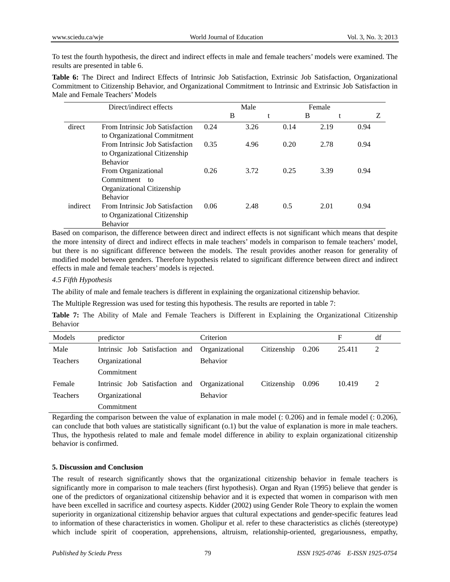To test the fourth hypothesis, the direct and indirect effects in male and female teachers' models were examined. The results are presented in table 6.

**Table 6:** The Direct and Indirect Effects of Intrinsic Job Satisfaction, Extrinsic Job Satisfaction, Organizational Commitment to Citizenship Behavior, and Organizational Commitment to Intrinsic and Extrinsic Job Satisfaction in Male and Female Teachers' Models

| Direct/indirect effects |                                                                                       | Male |      | Female |        |      |
|-------------------------|---------------------------------------------------------------------------------------|------|------|--------|--------|------|
|                         |                                                                                       |      | B    | t      | B<br>t | Z.   |
| direct                  | From Intrinsic Job Satisfaction<br>to Organizational Commitment                       | 0.24 | 3.26 | 0.14   | 2.19   | 0.94 |
|                         | From Intrinsic Job Satisfaction<br>to Organizational Citizenship<br><b>Behavior</b>   | 0.35 | 4.96 | 0.20   | 2.78   | 0.94 |
|                         | From Organizational<br>Commitment to<br>Organizational Citizenship<br><b>Behavior</b> | 0.26 | 3.72 | 0.25   | 3.39   | 0.94 |
| indirect                | From Intrinsic Job Satisfaction<br>to Organizational Citizenship<br><b>Behavior</b>   | 0.06 | 2.48 | 0.5    | 2.01   | 0.94 |

Based on comparison, the difference between direct and indirect effects is not significant which means that despite the more intensity of direct and indirect effects in male teachers' models in comparison to female teachers' model, but there is no significant difference between the models. The result provides another reason for generality of modified model between genders. Therefore hypothesis related to significant difference between direct and indirect effects in male and female teachers' models is rejected.

#### *4.5 Fifth Hypothesis*

The ability of male and female teachers is different in explaining the organizational citizenship behavior.

The Multiple Regression was used for testing this hypothesis. The results are reported in table 7:

**Table 7:** The Ability of Male and Female Teachers is Different in Explaining the Organizational Citizenship Behavior

| Models          | predictor                                     | Criterion       |             |       | F      | df |
|-----------------|-----------------------------------------------|-----------------|-------------|-------|--------|----|
| Male            | Intrinsic Job Satisfaction and Organizational |                 | Citizenship | 0.206 | 25.411 | 2  |
| <b>Teachers</b> | Organizational                                | <b>Behavior</b> |             |       |        |    |
|                 | Commitment                                    |                 |             |       |        |    |
| Female          | Intrinsic Job Satisfaction and Organizational |                 | Citizenship | 0.096 | 10.419 | 2  |
| <b>Teachers</b> | Organizational                                | <b>Behavior</b> |             |       |        |    |
|                 | Commitment                                    |                 |             |       |        |    |

Regarding the comparison between the value of explanation in male model (: 0.206) and in female model (: 0.206), can conclude that both values are statistically significant (o.1) but the value of explanation is more in male teachers. Thus, the hypothesis related to male and female model difference in ability to explain organizational citizenship behavior is confirmed.

#### **5. Discussion and Conclusion**

The result of research significantly shows that the organizational citizenship behavior in female teachers is significantly more in comparison to male teachers (first hypothesis). Organ and Ryan (1995) believe that gender is one of the predictors of organizational citizenship behavior and it is expected that women in comparison with men have been excelled in sacrifice and courtesy aspects. Kidder (2002) using Gender Role Theory to explain the women superiority in organizational citizenship behavior argues that cultural expectations and gender-specific features lead to information of these characteristics in women. Gholipur et al. refer to these characteristics as clichés (stereotype) which include spirit of cooperation, apprehensions, altruism, relationship-oriented, gregariousness, empathy,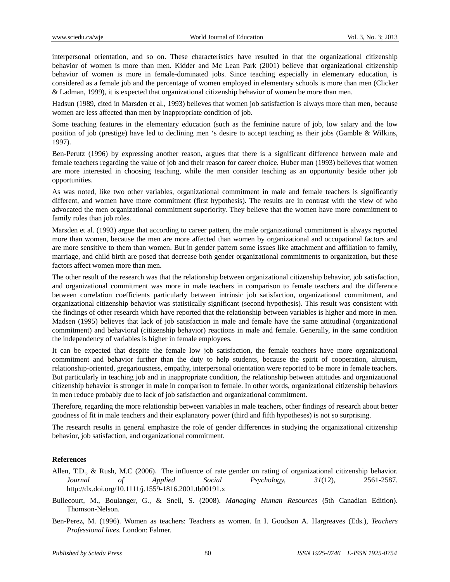interpersonal orientation, and so on. These characteristics have resulted in that the organizational citizenship behavior of women is more than men. Kidder and Mc Lean Park (2001) believe that organizational citizenship behavior of women is more in female-dominated jobs. Since teaching especially in elementary education, is considered as a female job and the percentage of women employed in elementary schools is more than men (Clicker & Ladman, 1999), it is expected that organizational citizenship behavior of women be more than men.

Hadsun (1989, cited in Marsden et al., 1993) believes that women job satisfaction is always more than men, because women are less affected than men by inappropriate condition of job.

Some teaching features in the elementary education (such as the feminine nature of job, low salary and the low position of job (prestige) have led to declining men 's desire to accept teaching as their jobs (Gamble & Wilkins, 1997).

Ben-Perutz (1996) by expressing another reason, argues that there is a significant difference between male and female teachers regarding the value of job and their reason for career choice. Huber man (1993) believes that women are more interested in choosing teaching, while the men consider teaching as an opportunity beside other job opportunities.

As was noted, like two other variables, organizational commitment in male and female teachers is significantly different, and women have more commitment (first hypothesis). The results are in contrast with the view of who advocated the men organizational commitment superiority. They believe that the women have more commitment to family roles than job roles.

Marsden et al. (1993) argue that according to career pattern, the male organizational commitment is always reported more than women, because the men are more affected than women by organizational and occupational factors and are more sensitive to them than women. But in gender pattern some issues like attachment and affiliation to family, marriage, and child birth are posed that decrease both gender organizational commitments to organization, but these factors affect women more than men.

The other result of the research was that the relationship between organizational citizenship behavior, job satisfaction, and organizational commitment was more in male teachers in comparison to female teachers and the difference between correlation coefficients particularly between intrinsic job satisfaction, organizational commitment, and organizational citizenship behavior was statistically significant (second hypothesis). This result was consistent with the findings of other research which have reported that the relationship between variables is higher and more in men. Madsen (1995) believes that lack of job satisfaction in male and female have the same attitudinal (organizational commitment) and behavioral (citizenship behavior) reactions in male and female. Generally, in the same condition the independency of variables is higher in female employees.

It can be expected that despite the female low job satisfaction, the female teachers have more organizational commitment and behavior further than the duty to help students, because the spirit of cooperation, altruism, relationship-oriented, gregariousness, empathy, interpersonal orientation were reported to be more in female teachers. But particularly in teaching job and in inappropriate condition, the relationship between attitudes and organizational citizenship behavior is stronger in male in comparison to female. In other words, organizational citizenship behaviors in men reduce probably due to lack of job satisfaction and organizational commitment.

Therefore, regarding the more relationship between variables in male teachers, other findings of research about better goodness of fit in male teachers and their explanatory power (third and fifth hypotheses) is not so surprising.

The research results in general emphasize the role of gender differences in studying the organizational citizenship behavior, job satisfaction, and organizational commitment.

#### **References**

- Allen, T.D., & Rush, M.C (2006). The influence of rate gender on rating of organizational citizenship behavior. *Journal of Applied Social Psychology, 31*(12), 2561-2587. http://dx.doi.org/10.1111/j.1559-1816.2001.tb00191.x
- Bullecourt, M., Boulanger, G., & Snell, S. (2008). *Managing Human Resources* (5th Canadian Edition). Thomson-Nelson.
- Ben-Perez, M. (1996). Women as teachers: Teachers as women. In I. Goodson A. Hargreaves (Eds.), *Teachers Professional lives*. London: Falmer.